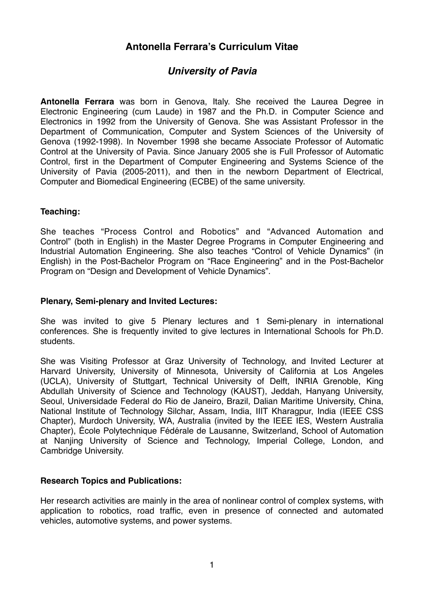# **Antonella Ferrara's Curriculum Vitae**

# *University of Pavia*

**Antonella Ferrara** was born in Genova, Italy. She received the Laurea Degree in Electronic Engineering (cum Laude) in 1987 and the Ph.D. in Computer Science and Electronics in 1992 from the University of Genova. She was Assistant Professor in the Department of Communication, Computer and System Sciences of the University of Genova (1992-1998). In November 1998 she became Associate Professor of Automatic Control at the University of Pavia. Since January 2005 she is Full Professor of Automatic Control, first in the Department of Computer Engineering and Systems Science of the University of Pavia (2005-2011), and then in the newborn Department of Electrical, Computer and Biomedical Engineering (ECBE) of the same university.

#### **Teaching:**

She teaches "Process Control and Robotics" and "Advanced Automation and Control" (both in English) in the Master Degree Programs in Computer Engineering and Industrial Automation Engineering. She also teaches "Control of Vehicle Dynamics" (in English) in the Post-Bachelor Program on "Race Engineering" and in the Post-Bachelor Program on "Design and Development of Vehicle Dynamics".

#### **Plenary, Semi-plenary and Invited Lectures:**

She was invited to give 5 Plenary lectures and 1 Semi-plenary in international conferences. She is frequently invited to give lectures in International Schools for Ph.D. students.

She was Visiting Professor at Graz University of Technology, and Invited Lecturer at Harvard University, University of Minnesota, University of California at Los Angeles (UCLA), University of Stuttgart, Technical University of Delft, INRIA Grenoble, King Abdullah University of Science and Technology (KAUST), Jeddah, Hanyang University, Seoul, Universidade Federal do Rio de Janeiro, Brazil, Dalian Maritime University, China, National Institute of Technology Silchar, Assam, India, IIIT Kharagpur, India (IEEE CSS Chapter), Murdoch University, WA, Australia (invited by the IEEE IES, Western Australia Chapter), École Polytechnique Fédérale de Lausanne, Switzerland, School of Automation at Nanjing University of Science and Technology, Imperial College, London, and Cambridge University.

#### **Research Topics and Publications:**

Her research activities are mainly in the area of nonlinear control of complex systems, with application to robotics, road traffic, even in presence of connected and automated vehicles, automotive systems, and power systems.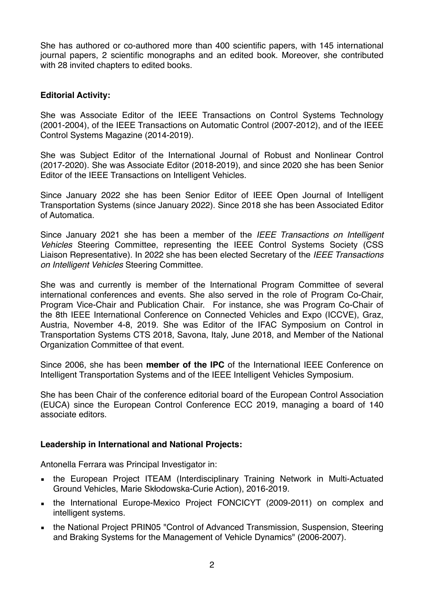She has authored or co-authored more than 400 scientific papers, with 145 international journal papers, 2 scientific monographs and an edited book. Moreover, she contributed with 28 invited chapters to edited books.

### **Editorial Activity:**

She was Associate Editor of the IEEE Transactions on Control Systems Technology (2001-2004), of the IEEE Transactions on Automatic Control (2007-2012), and of the IEEE Control Systems Magazine (2014-2019).

She was Subject Editor of the International Journal of Robust and Nonlinear Control (2017-2020). She was Associate Editor (2018-2019), and since 2020 she has been Senior Editor of the IEEE Transactions on Intelligent Vehicles.

Since January 2022 she has been Senior Editor of IEEE Open Journal of Intelligent Transportation Systems (since January 2022). Since 2018 she has been Associated Editor of Automatica.

Since January 2021 she has been a member of the *IEEE Transactions on Intelligent Vehicles* Steering Committee, representing the IEEE Control Systems Society (CSS Liaison Representative). In 2022 she has been elected Secretary of the *IEEE Transactions on Intelligent Vehicles* Steering Committee.

She was and currently is member of the International Program Committee of several international conferences and events. She also served in the role of Program Co-Chair, Program Vice-Chair and Publication Chair. For instance, she was Program Co-Chair of the 8th IEEE International Conference on Connected Vehicles and Expo (ICCVE), Graz, Austria, November 4-8, 2019. She was Editor of the IFAC Symposium on Control in Transportation Systems CTS 2018, Savona, Italy, June 2018, and Member of the National Organization Committee of that event.

Since 2006, she has been **member of the IPC** of the International IEEE Conference on Intelligent Transportation Systems and of the IEEE Intelligent Vehicles Symposium.

She has been Chair of the conference editorial board of the European Control Association (EUCA) since the European Control Conference ECC 2019, managing a board of 140 associate editors.

#### **Leadership in International and National Projects:**

Antonella Ferrara was Principal Investigator in:

- **.** the European Project ITEAM (Interdisciplinary Training Network in Multi-Actuated Ground Vehicles, Marie Skłodowska-Curie Action), 2016-2019.
- **.** the International Europe-Mexico Project FONCICYT (2009-2011) on complex and intelligent systems.
- the National Project PRIN05 "Control of Advanced Transmission, Suspension, Steering and Braking Systems for the Management of Vehicle Dynamics" (2006-2007).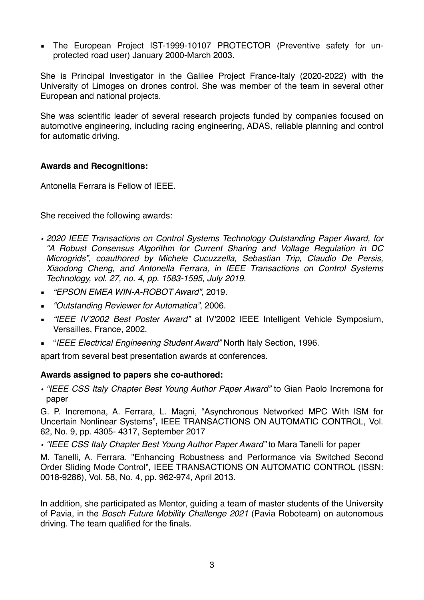**The European Project IST-1999-10107 PROTECTOR (Preventive safety for un**protected road user) January 2000-March 2003.

She is Principal Investigator in the Galilee Project France-Italy (2020-2022) with the University of Limoges on drones control. She was member of the team in several other European and national projects.

She was scientific leader of several research projects funded by companies focused on automotive engineering, including racing engineering, ADAS, reliable planning and control for automatic driving.

### **Awards and Recognitions:**

Antonella Ferrara is Fellow of IEEE.

She received the following awards:

- *• 2020 IEEE Transactions on Control Systems Technology Outstanding Paper Award, for "A Robust Consensus Algorithm for Current Sharing and Voltage Regulation in DC Microgrids", coauthored by Michele Cucuzzella, Sebastian Trip, Claudio De Persis, Xiaodong Cheng, and Antonella Ferrara, in IEEE Transactions on Control Systems Technology, vol. 27, no. 4, pp. 1583-1595, July 2019.*
- *"EPSON EMEA WIN-A-ROBOT Award"*, 2019.
- *"Outstanding Reviewer for Automatica"*, 2006.
- *"IEEE IV'2002 Best Poster Award"* at IV'2002 IEEE Intelligent Vehicle Symposium, Versailles, France, 2002.
- "*IEEE Electrical Engineering Student Award"* North Italy Section, 1996.

apart from several best presentation awards at conferences.

## **Awards assigned to papers she co-authored:**

*• "IEEE CSS Italy Chapter Best Young Author Paper Award"* to Gian Paolo Incremona for paper

G. P. Incremona, A. Ferrara, L. Magni, "Asynchronous Networked MPC With ISM for Uncertain Nonlinear Systems"**,** IEEE TRANSACTIONS ON AUTOMATIC CONTROL, Vol. 62, No. 9, pp. 4305- 4317, September 2017

*• "IEEE CSS Italy Chapter Best Young Author Paper Award"* to Mara Tanelli for paper

M. Tanelli, A. Ferrara. "Enhancing Robustness and Performance via Switched Second Order Sliding Mode Control", IEEE TRANSACTIONS ON AUTOMATIC CONTROL (ISSN: 0018-9286), Vol. 58, No. 4, pp. 962-974, April 2013.

In addition, she participated as Mentor, guiding a team of master students of the University of Pavia, in the *Bosch Future Mobility Challenge 2021* (Pavia Roboteam) on autonomous driving. The team qualified for the finals.